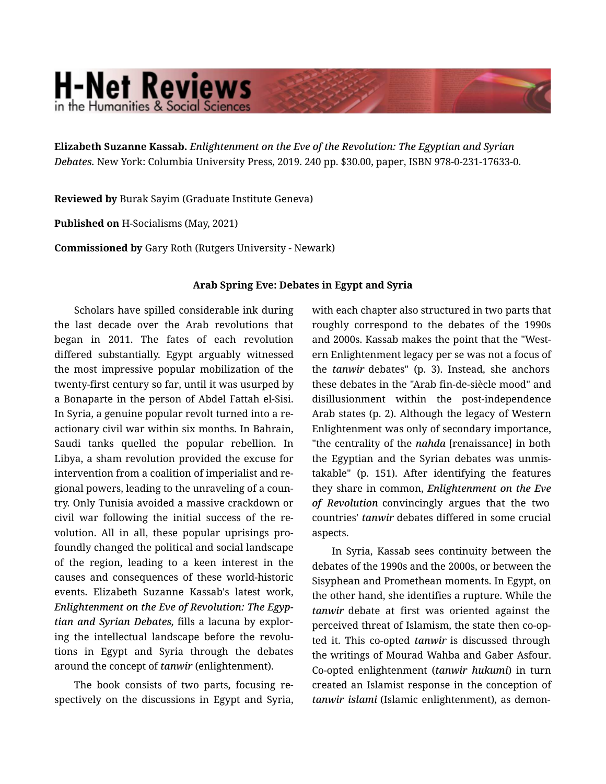## **H-Net Reviews** in the Humanities & Social Scienc

**Elizabeth Suzanne Kassab.** *Enlightenment on the Eve of the Revolution: The Egyptian and Syrian Debates.* New York: Columbia University Press, 2019. 240 pp. \$30.00, paper, ISBN 978-0-231-17633-0.

**Reviewed by** Burak Sayim (Graduate Institute Geneva)

**Published on** H-Socialisms (May, 2021)

**Commissioned by** Gary Roth (Rutgers University - Newark)

## **Arab Spring Eve: Debates in Egypt and Syria**

Scholars have spilled considerable ink during the last decade over the Arab revolutions that began in 2011. The fates of each revolution differed substantially. Egypt arguably witnessed the most impressive popular mobilization of the twenty-first century so far, until it was usurped by a Bonaparte in the person of Abdel Fattah el-Sisi. In Syria, a genuine popular revolt turned into a re‐ actionary civil war within six months. In Bahrain, Saudi tanks quelled the popular rebellion. In Libya, a sham revolution provided the excuse for intervention from a coalition of imperialist and re‐ gional powers, leading to the unraveling of a coun‐ try. Only Tunisia avoided a massive crackdown or civil war following the initial success of the re‐ volution. All in all, these popular uprisings pro‐ foundly changed the political and social landscape of the region, leading to a keen interest in the causes and consequences of these world-historic events. Elizabeth Suzanne Kassab's latest work, *Enlightenment on the Eve of Revolution: The Egyp‐ tian and Syrian Debates,* fills a lacuna by explor‐ ing the intellectual landscape before the revolu‐ tions in Egypt and Syria through the debates around the concept of *tanwir* (enlightenment).

The book consists of two parts, focusing re‐ spectively on the discussions in Egypt and Syria, with each chapter also structured in two parts that roughly correspond to the debates of the 1990s and 2000s. Kassab makes the point that the "West‐ ern Enlightenment legacy per se was not a focus of the *tanwir* debates" (p. 3). Instead, she anchors these debates in the "Arab fin-de-siècle mood" and disillusionment within the post-independence Arab states (p. 2). Although the legacy of Western Enlightenment was only of secondary importance, "the centrality of the *nahda* [renaissance] in both the Egyptian and the Syrian debates was unmis‐ takable" (p. 151). After identifying the features they share in common, *Enlightenment on the Eve of Revolution* convincingly argues that the two countries' *tanwir* debates differed in some crucial aspects.

In Syria, Kassab sees continuity between the debates of the 1990s and the 2000s, or between the Sisyphean and Promethean moments. In Egypt, on the other hand, she identifies a rupture. While the *tanwir* debate at first was oriented against the perceived threat of Islamism, the state then co-op‐ ted it. This co-opted *tanwir* is discussed through the writings of Mourad Wahba and Gaber Asfour. Co-opted enlightenment (*tanwir hukumi*) in turn created an Islamist response in the conception of *tanwir islami* (Islamic enlightenment), as demon‐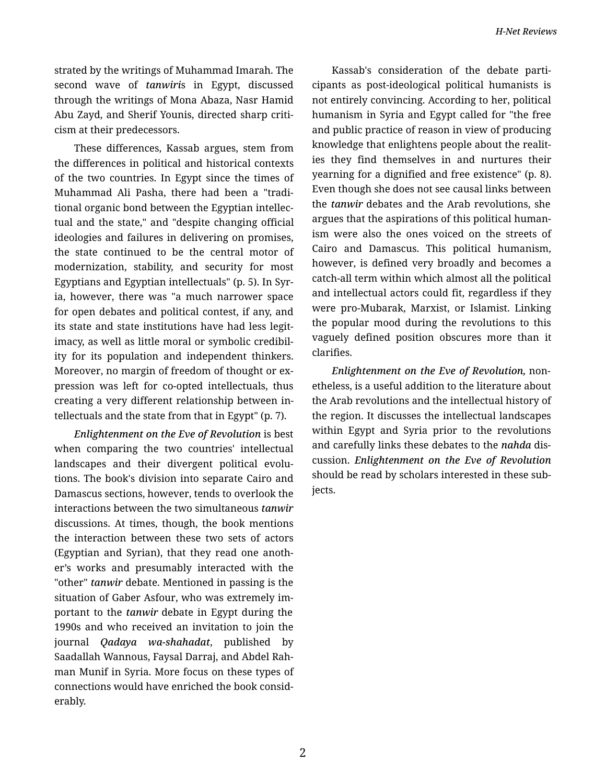strated by the writings of Muhammad Imarah. The second wave of *tanwiri*s in Egypt, discussed through the writings of Mona Abaza, Nasr Hamid Abu Zayd, and Sherif Younis, directed sharp criti‐ cism at their predecessors.

These differences, Kassab argues, stem from the differences in political and historical contexts of the two countries. In Egypt since the times of Muhammad Ali Pasha, there had been a "tradi‐ tional organic bond between the Egyptian intellec‐ tual and the state," and "despite changing official ideologies and failures in delivering on promises, the state continued to be the central motor of modernization, stability, and security for most Egyptians and Egyptian intellectuals" (p. 5). In Syr‐ ia, however, there was "a much narrower space for open debates and political contest, if any, and its state and state institutions have had less legit‐ imacy, as well as little moral or symbolic credibil‐ ity for its population and independent thinkers. Moreover, no margin of freedom of thought or ex‐ pression was left for co-opted intellectuals, thus creating a very different relationship between in‐ tellectuals and the state from that in Egypt" (p. 7).

*Enlightenment on the Eve of Revolution* is best when comparing the two countries' intellectual landscapes and their divergent political evolutions. The book's division into separate Cairo and Damascus sections, however, tends to overlook the interactions between the two simultaneous *tanwir* discussions. At times, though, the book mentions the interaction between these two sets of actors (Egyptian and Syrian), that they read one anoth‐ er's works and presumably interacted with the "other" *tanwir* debate. Mentioned in passing is the situation of Gaber Asfour, who was extremely im‐ portant to the *tanwir* debate in Egypt during the 1990s and who received an invitation to join the journal *Qadaya wa-shahadat*, published by Saadallah Wannous, Faysal Darraj, and Abdel Rah‐ man Munif in Syria. More focus on these types of connections would have enriched the book consid‐ erably.

Kassab's consideration of the debate parti‐ cipants as post-ideological political humanists is not entirely convincing. According to her, political humanism in Syria and Egypt called for "the free and public practice of reason in view of producing knowledge that enlightens people about the realit‐ ies they find themselves in and nurtures their yearning for a dignified and free existence" (p. 8). Even though she does not see causal links between the *tanwir* debates and the Arab revolutions, she argues that the aspirations of this political human‐ ism were also the ones voiced on the streets of Cairo and Damascus. This political humanism, however, is defined very broadly and becomes a catch-all term within which almost all the political and intellectual actors could fit, regardless if they were pro-Mubarak, Marxist, or Islamist. Linking the popular mood during the revolutions to this vaguely defined position obscures more than it clarifies.

*Enlightenment on the Eve of Revolution,* non‐ etheless, is a useful addition to the literature about the Arab revolutions and the intellectual history of the region. It discusses the intellectual landscapes within Egypt and Syria prior to the revolutions and carefully links these debates to the *nahda* dis‐ cussion. *Enlightenment on the Eve of Revolution* should be read by scholars interested in these sub‐ jects.